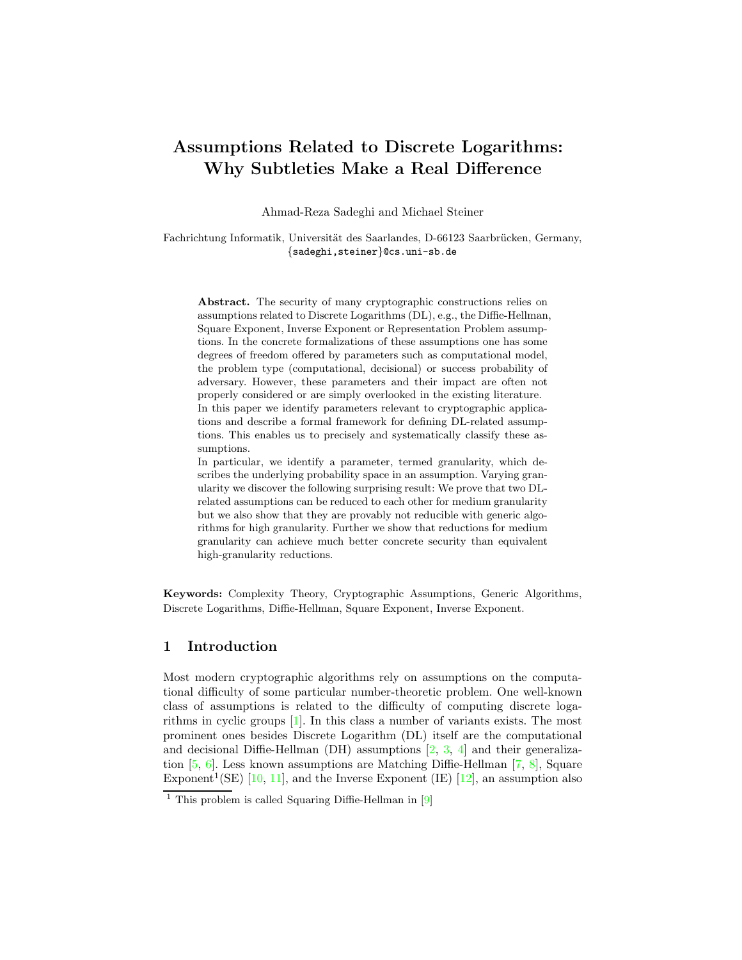# <span id="page-0-0"></span>Assumptions Related to Discrete Logarithms: Why Subtleties Make a Real Difference

Ahmad-Reza Sadeghi and Michael Steiner

Fachrichtung Informatik, Universität des Saarlandes, D-66123 Saarbrücken, Germany, {sadeghi,steiner}@cs.uni-sb.de

Abstract. The security of many cryptographic constructions relies on assumptions related to Discrete Logarithms (DL), e.g., the Diffie-Hellman, Square Exponent, Inverse Exponent or Representation Problem assumptions. In the concrete formalizations of these assumptions one has some degrees of freedom offered by parameters such as computational model, the problem type (computational, decisional) or success probability of adversary. However, these parameters and their impact are often not properly considered or are simply overlooked in the existing literature. In this paper we identify parameters relevant to cryptographic applications and describe a formal framework for defining DL-related assumptions. This enables us to precisely and systematically classify these assumptions.

In particular, we identify a parameter, termed granularity, which describes the underlying probability space in an assumption. Varying granularity we discover the following surprising result: We prove that two DLrelated assumptions can be reduced to each other for medium granularity but we also show that they are provably not reducible with generic algorithms for high granularity. Further we show that reductions for medium granularity can achieve much better concrete security than equivalent high-granularity reductions.

Keywords: Complexity Theory, Cryptographic Assumptions, Generic Algorithms, Discrete Logarithms, Diffie-Hellman, Square Exponent, Inverse Exponent.

# 1 Introduction

Most modern cryptographic algorithms rely on assumptions on the computational difficulty of some particular number-theoretic problem. One well-known class of assumptions is related to the difficulty of computing discrete logarithms in cyclic groups [\[1\]](#page-15-0). In this class a number of variants exists. The most prominent ones besides Discrete Logarithm (DL) itself are the computational and decisional Diffie-Hellman (DH) assumptions  $[2, 3, 4]$  $[2, 3, 4]$  $[2, 3, 4]$  $[2, 3, 4]$  $[2, 3, 4]$  and their generalization [\[5,](#page-16-0) [6\]](#page-16-1). Less known assumptions are Matching Diffie-Hellman [\[7,](#page-16-2) [8\]](#page-16-3), Square Exponent<sup>1</sup>(SE) [\[10,](#page-16-4) [11\]](#page-16-5), and the Inverse Exponent (IE) [\[12\]](#page-16-6), an assumption also

<sup>&</sup>lt;sup>1</sup> This problem is called Squaring Diffie-Hellman in  $[9]$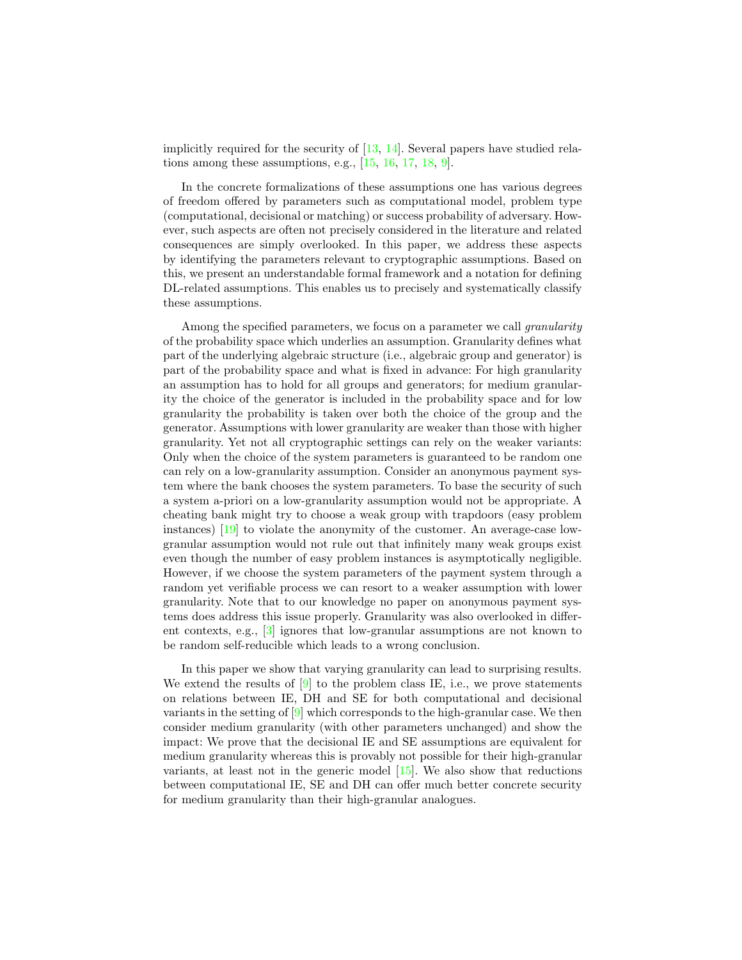<span id="page-1-0"></span>implicitly required for the security of  $[13, 14]$  $[13, 14]$  $[13, 14]$ . Several papers have studied relations among these assumptions, e.g.,  $[15, 16, 17, 18, 9]$  $[15, 16, 17, 18, 9]$  $[15, 16, 17, 18, 9]$  $[15, 16, 17, 18, 9]$  $[15, 16, 17, 18, 9]$  $[15, 16, 17, 18, 9]$  $[15, 16, 17, 18, 9]$  $[15, 16, 17, 18, 9]$  $[15, 16, 17, 18, 9]$ .

In the concrete formalizations of these assumptions one has various degrees of freedom offered by parameters such as computational model, problem type (computational, decisional or matching) or success probability of adversary. However, such aspects are often not precisely considered in the literature and related consequences are simply overlooked. In this paper, we address these aspects by identifying the parameters relevant to cryptographic assumptions. Based on this, we present an understandable formal framework and a notation for defining DL-related assumptions. This enables us to precisely and systematically classify these assumptions.

Among the specified parameters, we focus on a parameter we call *granularity* of the probability space which underlies an assumption. Granularity defines what part of the underlying algebraic structure (i.e., algebraic group and generator) is part of the probability space and what is fixed in advance: For high granularity an assumption has to hold for all groups and generators; for medium granularity the choice of the generator is included in the probability space and for low granularity the probability is taken over both the choice of the group and the generator. Assumptions with lower granularity are weaker than those with higher granularity. Yet not all cryptographic settings can rely on the weaker variants: Only when the choice of the system parameters is guaranteed to be random one can rely on a low-granularity assumption. Consider an anonymous payment system where the bank chooses the system parameters. To base the security of such a system a-priori on a low-granularity assumption would not be appropriate. A cheating bank might try to choose a weak group with trapdoors (easy problem instances) [\[19\]](#page-17-1) to violate the anonymity of the customer. An average-case lowgranular assumption would not rule out that infinitely many weak groups exist even though the number of easy problem instances is asymptotically negligible. However, if we choose the system parameters of the payment system through a random yet verifiable process we can resort to a weaker assumption with lower granularity. Note that to our knowledge no paper on anonymous payment systems does address this issue properly. Granularity was also overlooked in different contexts, e.g., [\[3\]](#page-15-2) ignores that low-granular assumptions are not known to be random self-reducible which leads to a wrong conclusion.

In this paper we show that varying granularity can lead to surprising results. We extend the results of  $[9]$  to the problem class IE, i.e., we prove statements on relations between IE, DH and SE for both computational and decisional variants in the setting of [\[9\]](#page-16-7) which corresponds to the high-granular case. We then consider medium granularity (with other parameters unchanged) and show the impact: We prove that the decisional IE and SE assumptions are equivalent for medium granularity whereas this is provably not possible for their high-granular variants, at least not in the generic model [\[15\]](#page-16-10). We also show that reductions between computational IE, SE and DH can offer much better concrete security for medium granularity than their high-granular analogues.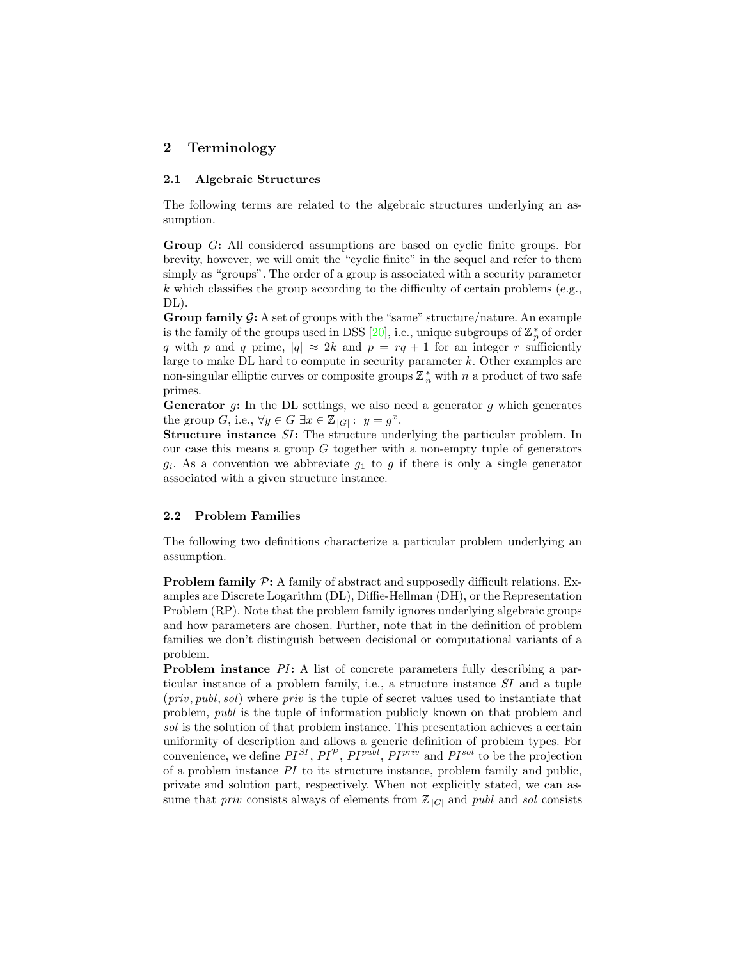# <span id="page-2-1"></span>2 Terminology

#### 2.1 Algebraic Structures

The following terms are related to the algebraic structures underlying an assumption.

Group G: All considered assumptions are based on cyclic finite groups. For brevity, however, we will omit the "cyclic finite" in the sequel and refer to them simply as "groups". The order of a group is associated with a security parameter  $k$  which classifies the group according to the difficulty of certain problems (e.g., DL).

Group family  $\mathcal{G}$ : A set of groups with the "same" structure/nature. An example is the family of the groups used in DSS [\[20\]](#page-17-2), i.e., unique subgroups of  $\mathbb{Z}_p^*$  of order q with p and q prime,  $|q| \approx 2k$  and  $p = rq + 1$  for an integer r sufficiently large to make DL hard to compute in security parameter k. Other examples are non-singular elliptic curves or composite groups  $\mathbb{Z}_n^*$  with  $n$  a product of two safe primes.

**Generator**  $g$ : In the DL settings, we also need a generator  $g$  which generates the group G, i.e.,  $\forall y \in G \exists x \in \mathbb{Z}_{|G|}: y = g^x$ .

Structure instance SI: The structure underlying the particular problem. In our case this means a group  $G$  together with a non-empty tuple of generators  $g_i$ . As a convention we abbreviate  $g_1$  to g if there is only a single generator associated with a given structure instance.

### <span id="page-2-0"></span>2.2 Problem Families

The following two definitions characterize a particular problem underlying an assumption.

**Problem family**  $\mathcal{P}$ **:** A family of abstract and supposedly difficult relations. Examples are Discrete Logarithm (DL), Diffie-Hellman (DH), or the Representation Problem (RP). Note that the problem family ignores underlying algebraic groups and how parameters are chosen. Further, note that in the definition of problem families we don't distinguish between decisional or computational variants of a problem.

Problem instance PI: A list of concrete parameters fully describing a particular instance of a problem family, i.e., a structure instance SI and a tuple  $(priv, publ, sol)$  where *priv* is the tuple of secret values used to instantiate that problem, publ is the tuple of information publicly known on that problem and sol is the solution of that problem instance. This presentation achieves a certain uniformity of description and allows a generic definition of problem types. For convenience, we define  $PI^{SI}$ ,  $PI^{P}$ ,  $PI^{publ}$ ,  $PI^{priv}$  and  $PI^{sol}$  to be the projection of a problem instance  $PI$  to its structure instance, problem family and public, private and solution part, respectively. When not explicitly stated, we can assume that *priv* consists always of elements from  $\mathbb{Z}_{|G|}$  and *publ* and *sol* consists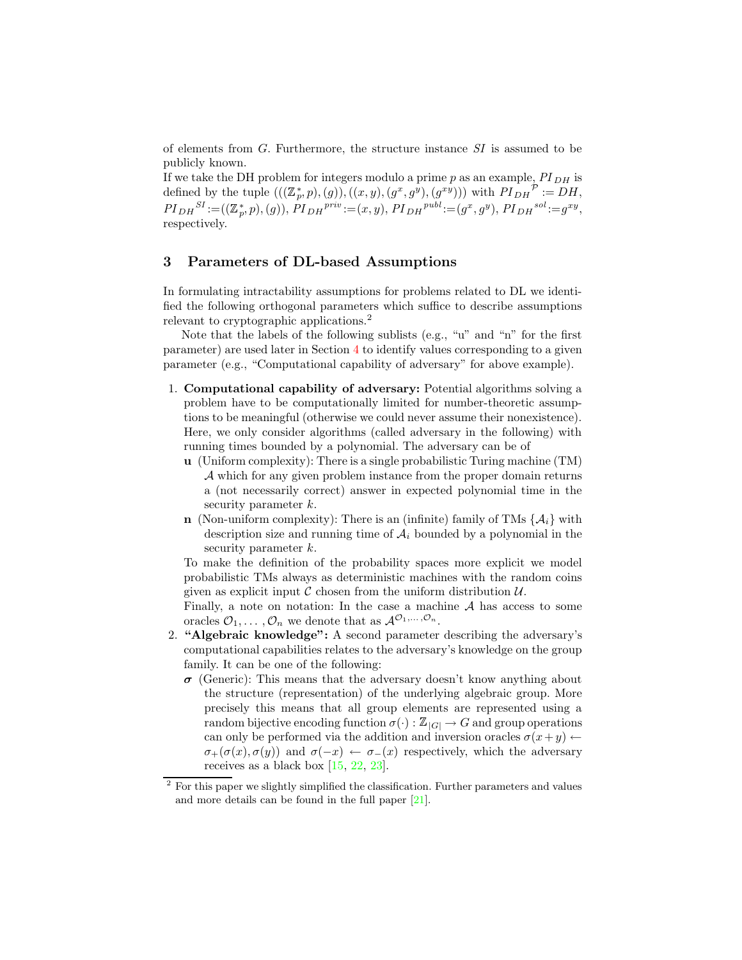<span id="page-3-0"></span>of elements from G. Furthermore, the structure instance SI is assumed to be publicly known.

If we take the DH problem for integers modulo a prime  $p$  as an example,  $PI_{DH}$  is defined by the tuple  $(((\mathbb{Z}_p^*, p), (g)), ((x, y), (g^x, g^y), (g^{xy}))$  with  $PI_{DH}^{\mathcal{P}} := DH$ ,  $PI_{DH}^{SI} := ((\mathbb{Z}_p^*, p), (g)), PI_{DH}^{priv} := (x, y), PI_{DH}^{publ} := (g^x, g^y), PI_{DH}^{sol} := g^{xy},$ respectively.

### 3 Parameters of DL-based Assumptions

In formulating intractability assumptions for problems related to DL we identified the following orthogonal parameters which suffice to describe assumptions relevant to cryptographic applications.<sup>2</sup>

Note that the labels of the following sublists (e.g., "u" and "n" for the first parameter) are used later in Section [4](#page-5-0) to identify values corresponding to a given parameter (e.g., "Computational capability of adversary" for above example).

- 1. Computational capability of adversary: Potential algorithms solving a problem have to be computationally limited for number-theoretic assumptions to be meaningful (otherwise we could never assume their nonexistence). Here, we only consider algorithms (called adversary in the following) with running times bounded by a polynomial. The adversary can be of
	- u (Uniform complexity): There is a single probabilistic Turing machine (TM) A which for any given problem instance from the proper domain returns a (not necessarily correct) answer in expected polynomial time in the security parameter k.
	- n (Non-uniform complexity): There is an (infinite) family of TMs  $\{A_i\}$  with description size and running time of  $A_i$  bounded by a polynomial in the security parameter k.

To make the definition of the probability spaces more explicit we model probabilistic TMs always as deterministic machines with the random coins given as explicit input  $\mathcal C$  chosen from the uniform distribution  $\mathcal U$ .

Finally, a note on notation: In the case a machine  $A$  has access to some oracles  $\mathcal{O}_1, \ldots, \mathcal{O}_n$  we denote that as  $\mathcal{A}^{\mathcal{O}_1, \ldots, \mathcal{O}_n}$ .

- 2. "Algebraic knowledge": A second parameter describing the adversary's computational capabilities relates to the adversary's knowledge on the group family. It can be one of the following:
	- $\sigma$  (Generic): This means that the adversary doesn't know anything about the structure (representation) of the underlying algebraic group. More precisely this means that all group elements are represented using a random bijective encoding function  $\sigma(\cdot): \mathbb{Z}_{|G|} \to G$  and group operations can only be performed via the addition and inversion oracles  $\sigma(x+y) \leftarrow$  $\sigma_{+}(\sigma(x), \sigma(y))$  and  $\sigma(-x) \leftarrow \sigma_{-}(x)$  respectively, which the adversary receives as a black box [\[15,](#page-16-10) [22,](#page-17-3) [23\]](#page-17-4).

 $2$  For this paper we slightly simplified the classification. Further parameters and values and more details can be found in the full paper [\[21\]](#page-17-5).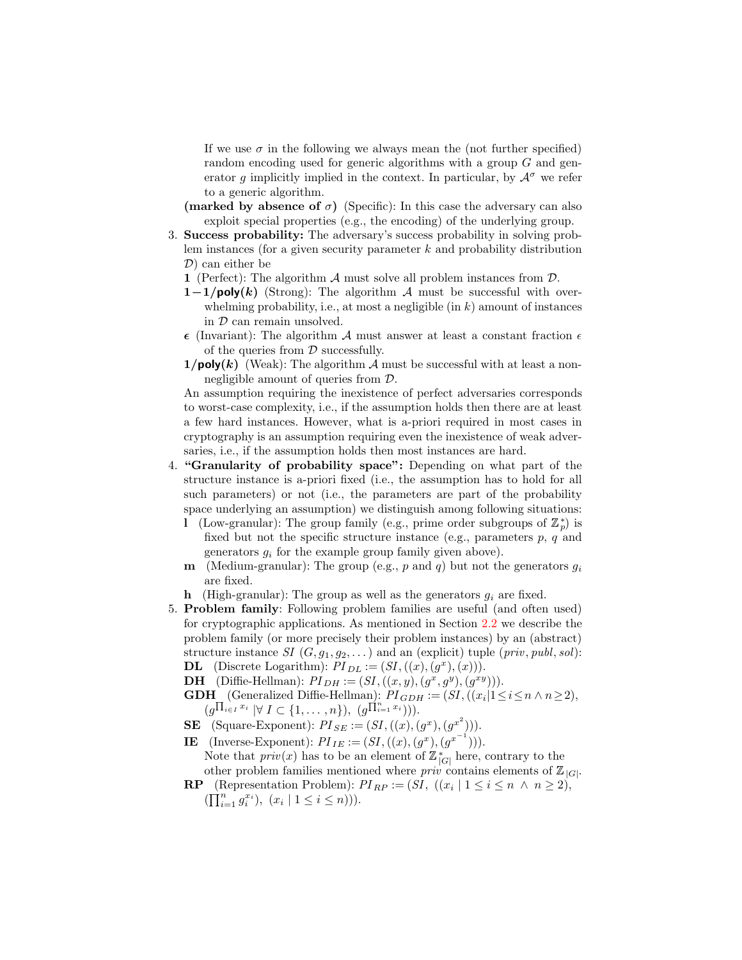If we use  $\sigma$  in the following we always mean the (not further specified) random encoding used for generic algorithms with a group G and generator g implicitly implied in the context. In particular, by  $\mathcal{A}^{\sigma}$  we refer to a generic algorithm.

- (marked by absence of  $\sigma$ ) (Specific): In this case the adversary can also exploit special properties (e.g., the encoding) of the underlying group.
- 3. Success probability: The adversary's success probability in solving problem instances (for a given security parameter  $k$  and probability distribution D) can either be
	- 1 (Perfect): The algorithm  $\mathcal A$  must solve all problem instances from  $\mathcal D$ .
	- $1-1/poly(k)$  (Strong): The algorithm A must be successful with overwhelming probability, i.e., at most a negligible  $(in k)$  amount of instances in D can remain unsolved.
	- $\epsilon$  (Invariant): The algorithm A must answer at least a constant fraction  $\epsilon$ of the queries from  $\mathcal D$  successfully.
	- $1/poly(k)$  (Weak): The algorithm A must be successful with at least a nonnegligible amount of queries from D.

An assumption requiring the inexistence of perfect adversaries corresponds to worst-case complexity, i.e., if the assumption holds then there are at least a few hard instances. However, what is a-priori required in most cases in cryptography is an assumption requiring even the inexistence of weak adversaries, i.e., if the assumption holds then most instances are hard.

- 4. "Granularity of probability space": Depending on what part of the structure instance is a-priori fixed (i.e., the assumption has to hold for all such parameters) or not (i.e., the parameters are part of the probability space underlying an assumption) we distinguish among following situations:
	- 1 (Low-granular): The group family (e.g., prime order subgroups of  $\mathbb{Z}_p^*$ ) is fixed but not the specific structure instance (e.g., parameters  $p, q$  and generators  $g_i$  for the example group family given above).
	- **m** (Medium-granular): The group (e.g., p and q) but not the generators  $g_i$ are fixed.
	- h (High-granular): The group as well as the generators  $q_i$  are fixed.
- 5. Problem family: Following problem families are useful (and often used) for cryptographic applications. As mentioned in Section [2.2](#page-2-0) we describe the problem family (or more precisely their problem instances) by an (abstract) structure instance  $SI(G, g_1, g_2, ...)$  and an (explicit) tuple (*priv, publ, sol*): **DL** (Discrete Logarithm):  $PI_{DL} := (SI, ((x), (g^x), (x))).$ 
	- **DH** (Diffie-Hellman):  $PI_{DH} := (SI, ((x, y), (g^x, g^y), (g^{xy}))).$
	- **GDH** (Generalized Diffie-Hellman):  $PI_{GDH} := (SI, ((x_i | 1 \le i \le n \land n \ge 2)),$  $(g^{\prod_{i\in I} x_i} | \forall I \subset \{1,\ldots,n\}), (g^{\prod_{i=1}^n x_i})).$
	- **SE** (Square-Exponent):  $PI_{SE} := (SI, ((x), (g^x), (g^{x^2}))).$
	- **IE** (Inverse-Exponent):  $PI_{IE} := (SI, ((x), (g^x), (g^{x^{-1}}))).$
	- Note that  $priv(x)$  has to be an element of  $\mathbb{Z}_{|G|}^{*}$  here, contrary to the other problem families mentioned where *priv* contains elements of  $\mathbb{Z}_{|G|}$ .
	- **RP** (Representation Problem):  $PI_{RP} := (SI, ((x_i \mid 1 \le i \le n \land n \ge 2)),$  $(\prod_{i=1}^n g_i^{x_i}), (x_i | 1 \leq i \leq n)).$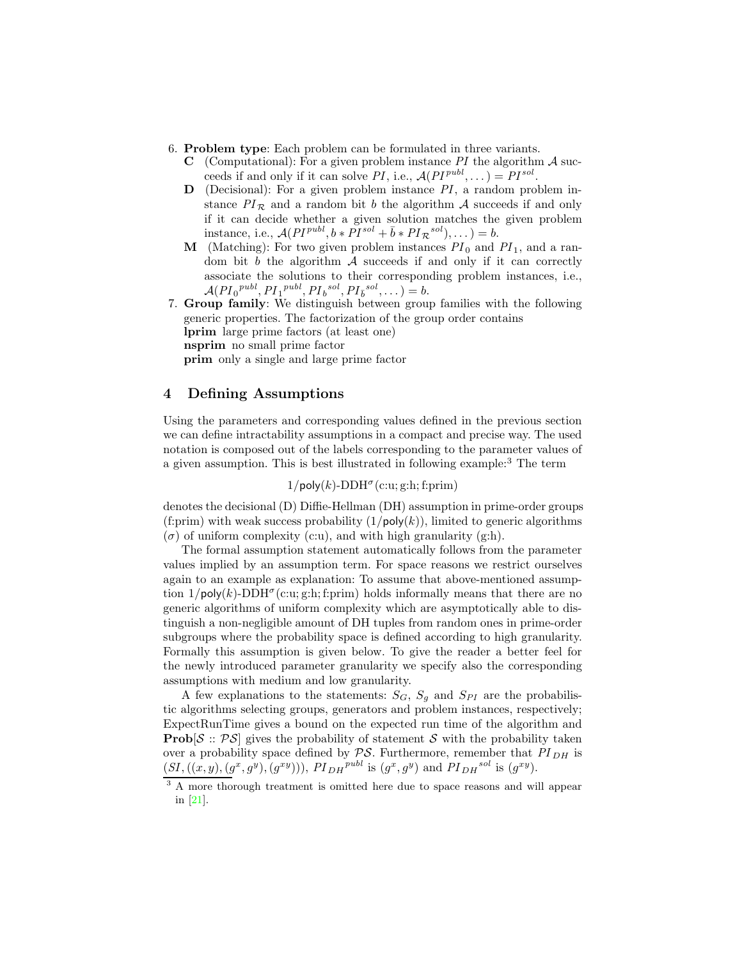- <span id="page-5-1"></span>6. Problem type: Each problem can be formulated in three variants.
	- **C** (Computational): For a given problem instance PI the algorithm  $\mathcal A$  succeeds if and only if it can solve PI, i.e.,  $\mathcal{A}(PI^{pub}, \dots) = PI^{sol}$ .
	- $\mathbf{D}$  (Decisional): For a given problem instance  $PI$ , a random problem instance  $PI_{\mathcal{R}}$  and a random bit b the algorithm A succeeds if and only if it can decide whether a given solution matches the given problem instance, i.e.,  $\mathcal{A}(PI^{publ}, b * PI^{sol} + \bar{b} * PI_{\mathcal{R}}^{sol}), \dots) = b.$
	- **M** (Matching): For two given problem instances  $PI_0$  and  $PI_1$ , and a random bit  $b$  the algorithm  $A$  succeeds if and only if it can correctly associate the solutions to their corresponding problem instances, i.e.,  $\mathcal{A}(PI_0^{publ}, PI_1^{publ}, PI_b^{sol}, PI_{\bar{b}}^{sol}, \dots) = b.$
- 7. Group family: We distinguish between group families with the following generic properties. The factorization of the group order contains lprim large prime factors (at least one) nsprim no small prime factor

prim only a single and large prime factor

# <span id="page-5-0"></span>4 Defining Assumptions

Using the parameters and corresponding values defined in the previous section we can define intractability assumptions in a compact and precise way. The used notation is composed out of the labels corresponding to the parameter values of a given assumption. This is best illustrated in following example:<sup>3</sup> The term

 $1/poly(k)-DDH<sup>\sigma</sup>(c:u; g:h; f:prim)$ 

denotes the decisional (D) Diffie-Hellman (DH) assumption in prime-order groups (f:prim) with weak success probability  $(1/poly(k))$ , limited to generic algorithms  $(\sigma)$  of uniform complexity (c:u), and with high granularity (g:h).

The formal assumption statement automatically follows from the parameter values implied by an assumption term. For space reasons we restrict ourselves again to an example as explanation: To assume that above-mentioned assumption  $1/\text{poly}(k)$ -DDH<sup> $\sigma$ </sup>(c:u; g:h; f:prim) holds informally means that there are no generic algorithms of uniform complexity which are asymptotically able to distinguish a non-negligible amount of DH tuples from random ones in prime-order subgroups where the probability space is defined according to high granularity. Formally this assumption is given below. To give the reader a better feel for the newly introduced parameter granularity we specify also the corresponding assumptions with medium and low granularity.

A few explanations to the statements:  $S_G$ ,  $S_g$  and  $S_{PI}$  are the probabilistic algorithms selecting groups, generators and problem instances, respectively; ExpectRunTime gives a bound on the expected run time of the algorithm and **Prob**[ $S$ ::  $PS$ ] gives the probability of statement S with the probability taken over a probability space defined by  $PS$ . Furthermore, remember that  $PI_{DH}$  is  $(SI, ((x,y),(g^x,g^y),(g^{xy}))), PI_{DH}^{publ}$  is  $(g^x,g^y)$  and  $PI_{DH}^{sol}$  is  $(g^{xy})$ .

<sup>&</sup>lt;sup>3</sup> A more thorough treatment is omitted here due to space reasons and will appear in [\[21\]](#page-17-5).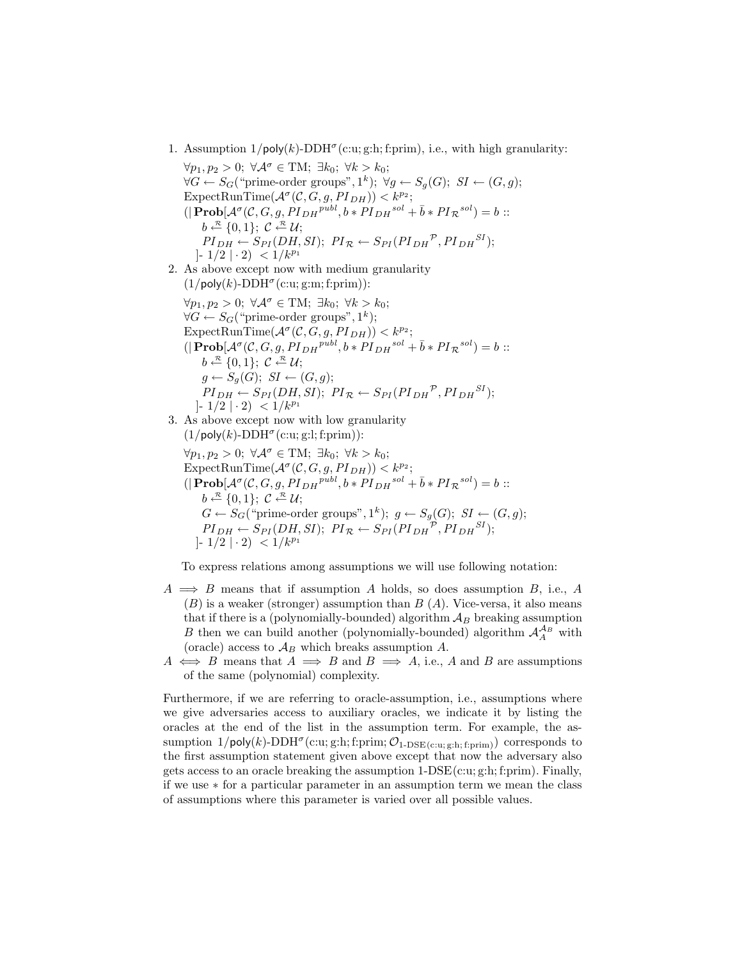1. Assumption  $1/\text{poly}(k)$ -DDH<sup> $\sigma$ </sup>(c:u; g:h; f:prim), i.e., with high granularity:

 $\forall p_1, p_2 > 0; \ \forall \mathcal{A}^{\sigma} \in TM; \ \exists k_0; \ \forall k > k_0;$  $\forall G \leftarrow S_G$  ("prime-order groups", 1<sup>k</sup>);  $\forall g \leftarrow S_g(G)$ ; *SI* ←  $(G, g)$ ; ExpectRunTime( $\mathcal{A}^{\sigma}(\mathcal{C}, G, g, PI_{DH})$ ) <  $k^{p_2}$ ;  $(|\text{Prob}[\mathcal{A}^{\sigma}(\mathcal{C}, G, g, PI_{DH}^{publ}, b * PI_{DH}^{sol} + \bar{b} * PI_{\mathcal{R}}^{sol} ) = b ::$  $b \stackrel{\mathcal{R}}{\leftarrow} \{0,1\}; C \stackrel{\mathcal{R}}{\leftarrow} \mathcal{U};$  $PI_{DH} \leftarrow S_{PI}(DH, SI); PI_{\mathcal{R}} \leftarrow S_{PI}(PI_{DH}^{\mathcal{P}}, PI_{DH}^{SI});$  $|-1/2| \cdot 2| < 1/k^{p_1}$ 2. As above except now with medium granularity  $(1/\text{poly}(k)\text{-DDH}^{\sigma}(\text{c:u}; \text{g:}m; \text{f:}\text{prim}))$ :  $\forall p_1, p_2 > 0; \ \forall \mathcal{A}^{\sigma} \in TM; \ \exists k_0; \ \forall k > k_0;$  $\forall G \leftarrow S_G(\text{``prime-order groups''}, 1^k);$ ExpectRunTime( $\mathcal{A}^{\sigma}(\mathcal{C}, G, g, PI_{DH})$ ) <  $k^{p_2}$ ;  $(|\text{Prob}[\mathcal{A}^{\sigma}(\mathcal{C}, G, g, PI_{DH}^{publ}, b*PI_{DH}^{sol} + \bar{b}*PI_{\mathcal{R}}^{sol}) = b::$  $b \stackrel{\mathcal{R}}{\leftarrow} \{0,1\}; C \stackrel{\mathcal{R}}{\leftarrow} \mathcal{U};$  $g \leftarrow S_q(G); \ SI \leftarrow (G, g);$  $PI_{DH} \leftarrow S_{PI}(DH, SI); PI_{\mathcal{R}} \leftarrow S_{PI}(PI_{DH}^{\mathcal{P}}, PI_{DH}^{SI});$ ]-  $1/2$  | · 2) <  $1/k^{p_1}$ 3. As above except now with low granularity  $(1/\text{poly}(k)\text{-DDH}^{\sigma}(\text{c:u}; \text{g:}l; \text{f:prim}))$ :  $\forall p_1, p_2 > 0; \ \forall \mathcal{A}^{\sigma} \in TM; \ \exists k_0; \ \forall k > k_0;$ ExpectRunTime( $\mathcal{A}^{\sigma}(\mathcal{C}, G, g, PI_{DH})$ ) <  $k^{p_2}$ ;  $(|\text{Prob}[\mathcal{A}^{\sigma}(\mathcal{C}, G, g, PI_{DH}^{publ}, b*PI_{DH}^{sol} + \bar{b}*PI_{\mathcal{R}}^{sol}) = b::$  $b \stackrel{\mathcal{R}}{\leftarrow} \{0,1\}; C \stackrel{\mathcal{R}}{\leftarrow} \mathcal{U};$  $G \leftarrow S_G$  ("prime-order groups", 1<sup>k</sup>);  $g \leftarrow S_g(G)$ ;  $SI \leftarrow (G, g)$ ;  $PI_{DH} \leftarrow S_{PI}(DH, SI); PI_{\mathcal{R}} \leftarrow S_{PI}(PI_{DH}^{\mathcal{P}}, PI_{DH}^{SI});$  $|-1/2| \cdot 2| < 1/k^{p_1}$ 

To express relations among assumptions we will use following notation:

- $A \implies B$  means that if assumption A holds, so does assumption B, i.e., A  $(B)$  is a weaker (stronger) assumption than  $B(A)$ . Vice-versa, it also means that if there is a (polynomially-bounded) algorithm  $A_B$  breaking assumption B then we can build another (polynomially-bounded) algorithm  $\mathcal{A}_{A}^{\mathcal{A}_{B}}$  with (oracle) access to  $\mathcal{A}_B$  which breaks assumption A.
- $A \iff B$  means that  $A \implies B$  and  $B \implies A$ , i.e., A and B are assumptions of the same (polynomial) complexity.

Furthermore, if we are referring to oracle-assumption, i.e., assumptions where we give adversaries access to auxiliary oracles, we indicate it by listing the oracles at the end of the list in the assumption term. For example, the assumption  $1/\text{poly}(k)$ -DDH<sup> $\sigma$ </sup>(c:u; g:h; f:prim;  $\mathcal{O}_{1-\text{DSE}(c:u; g:h; f:prim})$ ) corresponds to the first assumption statement given above except that now the adversary also gets access to an oracle breaking the assumption  $1-\text{DSE}(c:u; g:h; f:prim)$ . Finally, if we use ∗ for a particular parameter in an assumption term we mean the class of assumptions where this parameter is varied over all possible values.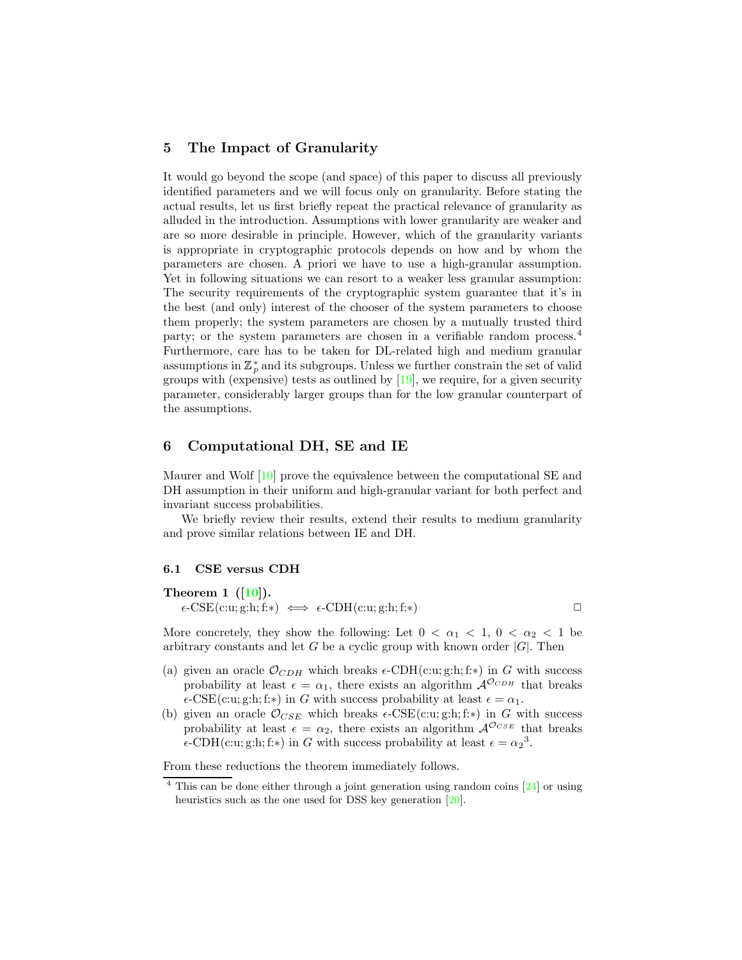### <span id="page-7-1"></span>5 The Impact of Granularity

It would go beyond the scope (and space) of this paper to discuss all previously identified parameters and we will focus only on granularity. Before stating the actual results, let us first briefly repeat the practical relevance of granularity as alluded in the introduction. Assumptions with lower granularity are weaker and are so more desirable in principle. However, which of the granularity variants is appropriate in cryptographic protocols depends on how and by whom the parameters are chosen. A priori we have to use a high-granular assumption. Yet in following situations we can resort to a weaker less granular assumption: The security requirements of the cryptographic system guarantee that it's in the best (and only) interest of the chooser of the system parameters to choose them properly; the system parameters are chosen by a mutually trusted third party; or the system parameters are chosen in a verifiable random process.<sup>4</sup> Furthermore, care has to be taken for DL-related high and medium granular assumptions in  $\mathbb{Z}_p^*$  and its subgroups. Unless we further constrain the set of valid groups with (expensive) tests as outlined by [\[19\]](#page-17-1), we require, for a given security parameter, considerably larger groups than for the low granular counterpart of the assumptions.

# 6 Computational DH, SE and IE

Maurer and Wolf [\[10\]](#page-16-4) prove the equivalence between the computational SE and DH assumption in their uniform and high-granular variant for both perfect and invariant success probabilities.

We briefly review their results, extend their results to medium granularity and prove similar relations between IE and DH.

#### <span id="page-7-0"></span>6.1 CSE versus CDH

### Theorem 1  $([10])$  $([10])$  $([10])$ .  $\epsilon$ -CSE(c:u; g:h; f:\*)  $\iff$   $\epsilon$ -CDH(c:u; g:h; f:\*)

More concretely, they show the following: Let  $0 < \alpha_1 < 1$ ,  $0 < \alpha_2 < 1$  be arbitrary constants and let G be a cyclic group with known order  $|G|$ . Then

- (a) given an oracle  $\mathcal{O}_{CDH}$  which breaks  $\epsilon$ -CDH(c:u; g:h; f:\*) in G with success probability at least  $\epsilon = \alpha_1$ , there exists an algorithm  $\mathcal{A}^{\mathcal{O}_{CDH}}$  that breaks  $\epsilon$ -CSE(c:u; g:h; f:\*) in G with success probability at least  $\epsilon = \alpha_1$ .
- (b) given an oracle  $\mathcal{O}_{CSE}$  which breaks  $\epsilon$ -CSE(c:u; g:h; f:\*) in G with success probability at least  $\epsilon = \alpha_2$ , there exists an algorithm  $A^{\mathcal{O}_{CSE}}$  that breaks  $\epsilon$ -CDH(c:u; g:h; f:\*) in G with success probability at least  $\epsilon = \alpha_2^3$ .

From these reductions the theorem immediately follows.

 $4$  This can be done either through a joint generation using random coins  $[24]$  or using heuristics such as the one used for DSS key generation [\[20\]](#page-17-2).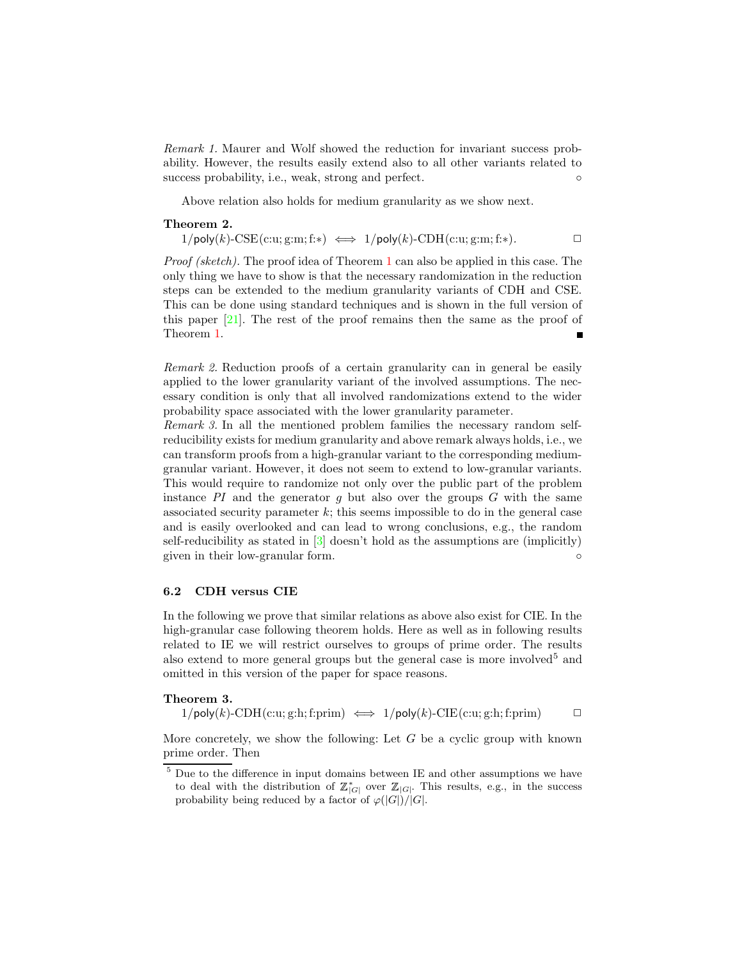<span id="page-8-2"></span>Remark 1. Maurer and Wolf showed the reduction for invariant success probability. However, the results easily extend also to all other variants related to success probability, i.e., weak, strong and perfect.

<span id="page-8-0"></span>Above relation also holds for medium granularity as we show next.

#### Theorem 2.

 $1/\text{poly}(k)\text{-CSE}(\text{c:u}; \text{g:}m; \text{f:}) \iff 1/\text{poly}(k)\text{-CDH}(\text{c:u}; \text{g:}m; \text{f:})$ .

Proof (sketch). The proof idea of Theorem [1](#page-7-0) can also be applied in this case. The only thing we have to show is that the necessary randomization in the reduction steps can be extended to the medium granularity variants of CDH and CSE. This can be done using standard techniques and is shown in the full version of this paper  $[21]$ . The rest of the proof remains then the same as the proof of Theorem [1.](#page-7-0)  $\blacksquare$ 

<span id="page-8-1"></span>Remark 2. Reduction proofs of a certain granularity can in general be easily applied to the lower granularity variant of the involved assumptions. The necessary condition is only that all involved randomizations extend to the wider probability space associated with the lower granularity parameter.

Remark 3. In all the mentioned problem families the necessary random selfreducibility exists for medium granularity and above remark always holds, i.e., we can transform proofs from a high-granular variant to the corresponding mediumgranular variant. However, it does not seem to extend to low-granular variants. This would require to randomize not only over the public part of the problem instance  $PI$  and the generator q but also over the groups  $G$  with the same associated security parameter  $k$ ; this seems impossible to do in the general case and is easily overlooked and can lead to wrong conclusions, e.g., the random self-reducibility as stated in [\[3\]](#page-15-2) doesn't hold as the assumptions are (implicitly) given in their low-granular form. ◦

### 6.2 CDH versus CIE

In the following we prove that similar relations as above also exist for CIE. In the high-granular case following theorem holds. Here as well as in following results related to IE we will restrict ourselves to groups of prime order. The results also extend to more general groups but the general case is more involved<sup>5</sup> and omitted in this version of the paper for space reasons.

#### Theorem 3.

 $1/poly(k)-CDH(c:u; g:h; f:prim) \iff 1/poly(k)-CIE(c:u; g:h; f:prim)$ 

More concretely, we show the following: Let  $G$  be a cyclic group with known prime order. Then

 $^5$  Due to the difference in input domains between IE and other assumptions we have to deal with the distribution of  $\mathbb{Z}_{|G|}^*$  over  $\mathbb{Z}_{|G|}$ . This results, e.g., in the success probability being reduced by a factor of  $\varphi(|G|)/|G|$ .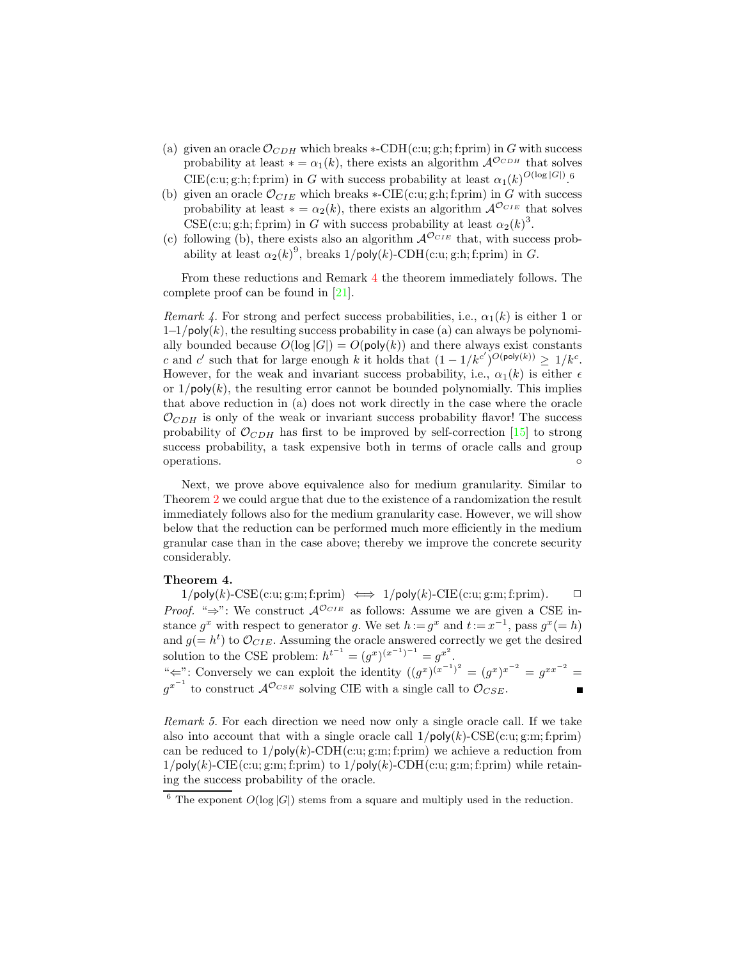- <span id="page-9-2"></span>(a) given an oracle  $\mathcal{O}_{CDH}$  which breaks \*-CDH(c:u; g:h; f:prim) in G with success probability at least  $* = \alpha_1(k)$ , there exists an algorithm  $\mathcal{A}^{\mathcal{O}_{CDH}}$  that solves CIE(c:u; g:h; f:prim) in G with success probability at least  $\alpha_1(k)^{O(\log |G|)}$ .<sup>6</sup>
- (b) given an oracle  $\mathcal{O}_{CIE}$  which breaks \*-CIE(c:u; g:h; f:prim) in G with success probability at least  $* = \alpha_2(k)$ , there exists an algorithm  $\mathcal{A}^{\mathcal{O}_{CIE}}$  that solves CSE(c:u; g:h; f:prim) in G with success probability at least  $\alpha_2(k)^3$ .
- (c) following (b), there exists also an algorithm  $\mathcal{A}^{\mathcal{O}_{CIE}}$  that, with success probability at least  $\alpha_2(k)^9$ , breaks  $1/\text{poly}(k)$ -CDH(c:u; g:h; f:prim) in G.

From these reductions and Remark [4](#page-9-0) the theorem immediately follows. The complete proof can be found in [\[21\]](#page-17-5).

<span id="page-9-0"></span>Remark 4. For strong and perfect success probabilities, i.e.,  $\alpha_1(k)$  is either 1 or  $1-1/poly(k)$ , the resulting success probability in case (a) can always be polynomially bounded because  $O(\log |G|) = O(\text{poly}(k))$  and there always exist constants c and c' such that for large enough k it holds that  $(1 - 1/k^{c'})^{O(\text{poly}(k))} \geq 1/k^{c}$ . However, for the weak and invariant success probability, i.e.,  $\alpha_1(k)$  is either  $\epsilon$ or  $1/poly(k)$ , the resulting error cannot be bounded polynomially. This implies that above reduction in (a) does not work directly in the case where the oracle  $\mathcal{O}_{CDH}$  is only of the weak or invariant success probability flavor! The success probability of  $\mathcal{O}_{CDH}$  has first to be improved by self-correction [\[15\]](#page-16-10) to strong success probability, a task expensive both in terms of oracle calls and group operations. ◦

Next, we prove above equivalence also for medium granularity. Similar to Theorem [2](#page-8-0) we could argue that due to the existence of a randomization the result immediately follows also for the medium granularity case. However, we will show below that the reduction can be performed much more efficiently in the medium granular case than in the case above; thereby we improve the concrete security considerably.

### Theorem 4.

 $1/\text{poly}(k)$ -CSE(c:u; g:m; f:prim)  $\iff 1/\text{poly}(k)$ -CIE(c:u; g:m; f:prim).  $\Box$ *Proof.* " $\Rightarrow$ ": We construct  $\mathcal{A}^{\mathcal{O}_{CIE}}$  as follows: Assume we are given a CSE instance  $g^x$  with respect to generator g. We set  $h := g^x$  and  $t := x^{-1}$ , pass  $g^x (= h)$ and  $g(=h^t)$  to  $\mathcal{O}_{CIE}$ . Assuming the oracle answered correctly we get the desired solution to the CSE problem:  $h^{t^{-1}} = (g^x)^{(x^{-1})^{-1}} = g^{x^2}$ . "  $\Leftarrow$ ": Conversely we can exploit the identity  $((g^x)^{(x^{-1})^2} = (g^x)^{x^{-2}} = g^{xx^{-2}} = g^{xx^{-2}}$  $g^{x^{-1}}$  to construct  $\mathcal{A}^{\mathcal{O}_{CSE}}$  solving CIE with a single call to  $\mathcal{O}_{CSE}$ .  $\blacksquare$ 

<span id="page-9-1"></span>Remark 5. For each direction we need now only a single oracle call. If we take also into account that with a single oracle call  $1/poly(k)$ -CSE(c:u; g:m; f:prim) can be reduced to  $1/\text{poly}(k)$ -CDH(c:u; g:m; f:prim) we achieve a reduction from  $1/poly(k)$ -CIE(c:u; g:m; f:prim) to  $1/poly(k)$ -CDH(c:u; g:m; f:prim) while retaining the success probability of the oracle.

<sup>&</sup>lt;sup>6</sup> The exponent  $O(\log |G|)$  stems from a square and multiply used in the reduction.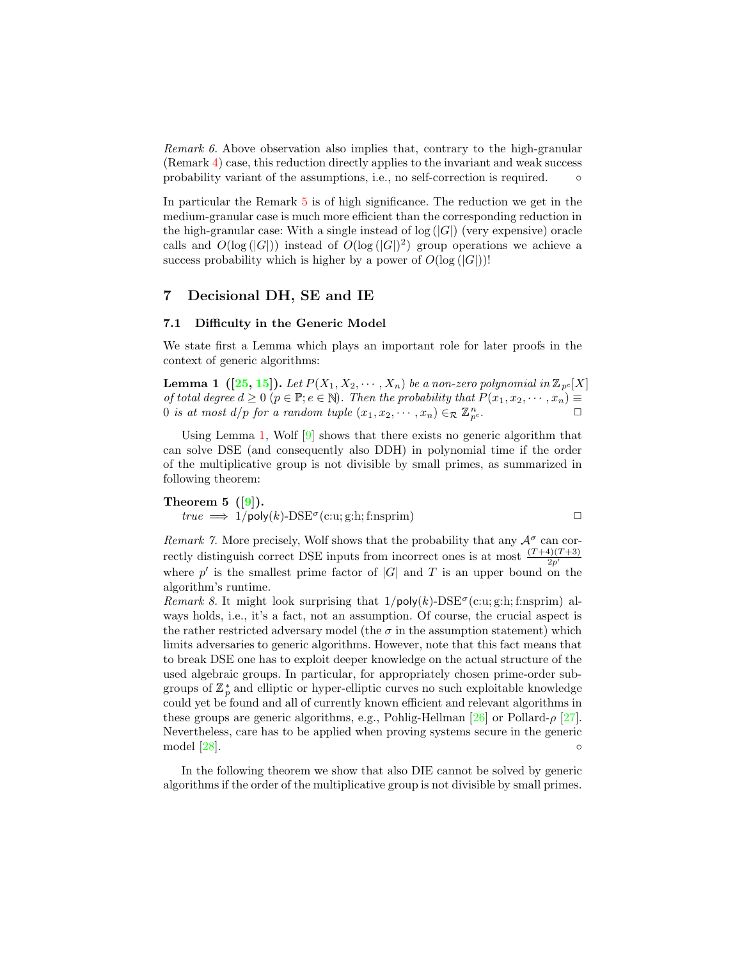<span id="page-10-3"></span>Remark 6. Above observation also implies that, contrary to the high-granular (Remark [4\)](#page-9-0) case, this reduction directly applies to the invariant and weak success probability variant of the assumptions, i.e., no self-correction is required.  $\circ$ 

In particular the Remark [5](#page-9-1) is of high significance. The reduction we get in the medium-granular case is much more efficient than the corresponding reduction in the high-granular case: With a single instead of  $log(|G|)$  (very expensive) oracle calls and  $O(\log(|G|))$  instead of  $O(\log(|G|)^2)$  group operations we achieve a success probability which is higher by a power of  $O(\log(|G|))!$ 

### 7 Decisional DH, SE and IE

#### 7.1 Difficulty in the Generic Model

<span id="page-10-0"></span>We state first a Lemma which plays an important role for later proofs in the context of generic algorithms:

**Lemma 1**  $([25, 15])$  $([25, 15])$  $([25, 15])$  $([25, 15])$  $([25, 15])$ . Let  $P(X_1, X_2, \cdots, X_n)$  be a non-zero polynomial in  $\mathbb{Z}_{p^e}[X]$ of total degree  $d \geq 0$   $(p \in \mathbb{P}; e \in \mathbb{N})$ . Then the probability that  $P(x_1, x_2, \dots, x_n) \equiv$ 0 is at most  $d/p$  for a random tuple  $(x_1, x_2, \dots, x_n) \in_R \mathbb{Z}_{p^e}^n$ .  $e$ .

Using Lemma [1,](#page-10-0) Wolf [\[9\]](#page-16-7) shows that there exists no generic algorithm that can solve DSE (and consequently also DDH) in polynomial time if the order of the multiplicative group is not divisible by small primes, as summarized in following theorem:

<span id="page-10-1"></span>**Theorem 5** ([9]).  
\n
$$
true \implies 1/\text{poly}(k)\text{-DSE}^{\sigma}(\text{c:u}; \text{g:h}; \text{f:nsprim})
$$

Remark 7. More precisely, Wolf shows that the probability that any  $A^{\sigma}$  can correctly distinguish correct DSE inputs from incorrect ones is at most  $\frac{(T+4)(T+3)}{2p'}$ where  $p'$  is the smallest prime factor of  $|G|$  and T is an upper bound on the algorithm's runtime.

Remark 8. It might look surprising that  $1/poly(k)$ -DSE<sup> $\sigma$ </sup>(c:u; g:h; f:nsprim) always holds, i.e., it's a fact, not an assumption. Of course, the crucial aspect is the rather restricted adversary model (the  $\sigma$  in the assumption statement) which limits adversaries to generic algorithms. However, note that this fact means that to break DSE one has to exploit deeper knowledge on the actual structure of the used algebraic groups. In particular, for appropriately chosen prime-order subgroups of  $\mathbb{Z}_p^*$  and elliptic or hyper-elliptic curves no such exploitable knowledge could yet be found and all of currently known efficient and relevant algorithms in these groups are generic algorithms, e.g., Pohlig-Hellman [\[26\]](#page-17-8) or Pollard- $\rho$  [\[27\]](#page-17-9). Nevertheless, care has to be applied when proving systems secure in the generic  $\mod [28]$  $\mod [28]$ .  $\circ$ 

<span id="page-10-2"></span>In the following theorem we show that also DIE cannot be solved by generic algorithms if the order of the multiplicative group is not divisible by small primes.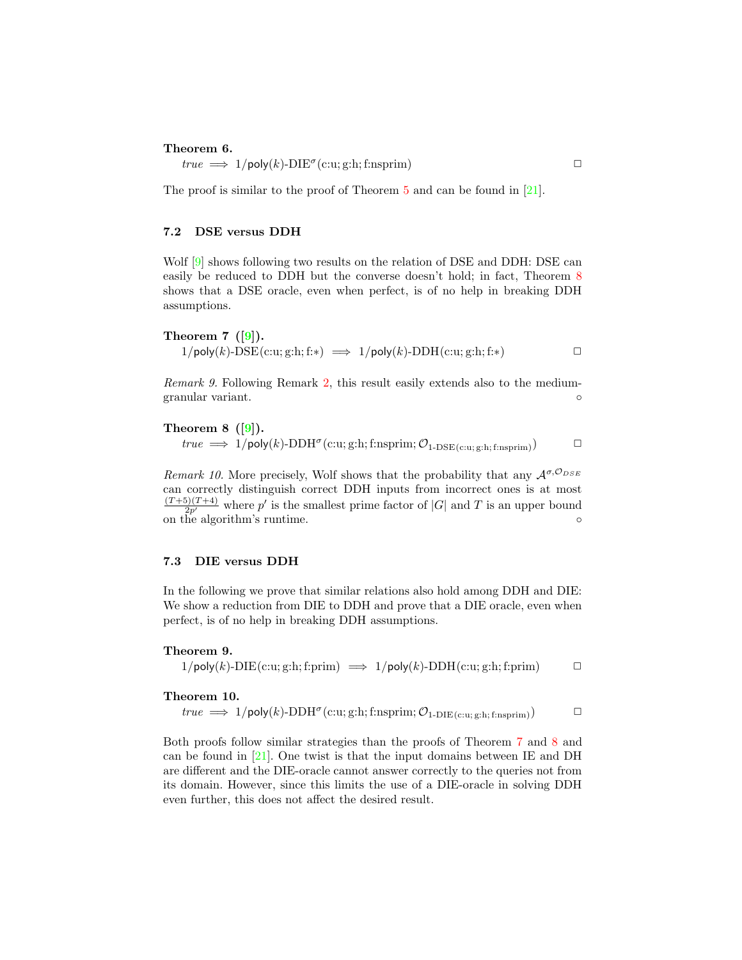### <span id="page-11-3"></span>Theorem 6.

 $true \implies 1/\text{poly}(k) \text{-} \text{DIE}^{\sigma}(\text{c:u}; \text{g:h}; \text{f:nsprim})$ 

The proof is similar to the proof of Theorem [5](#page-10-1) and can be found in [\[21\]](#page-17-5).

### 7.2 DSE versus DDH

Wolf [\[9\]](#page-16-7) shows following two results on the relation of DSE and DDH: DSE can easily be reduced to DDH but the converse doesn't hold; in fact, Theorem [8](#page-11-0) shows that a DSE oracle, even when perfect, is of no help in breaking DDH assumptions.

<span id="page-11-1"></span>Theorem  $7$  ([\[9\]](#page-16-7)).  $1/\text{poly}(k)$ - $\text{DSE}(c:u; g: h; f:*) \implies 1/\text{poly}(k)$ - $\text{DDH}(c:u; g: h; f:*)$ 

Remark 9. Following Remark [2,](#page-8-1) this result easily extends also to the mediumgranular variant. ◦

<span id="page-11-0"></span>Theorem  $8$  ([\[9\]](#page-16-7)).

 $true \implies 1/\mathsf{poly}(k)\text{-DDH}^{\sigma}(\text{c:u};\text{g:h};\text{f:nsprim};\mathcal{O}_{1\text{-DSE}(\text{c:u};\text{g:h};\text{f:nsprim})})$ 

Remark 10. More precisely, Wolf shows that the probability that any  $\mathcal{A}^{\sigma, \mathcal{O}_{DSE}}$ can correctly distinguish correct DDH inputs from incorrect ones is at most  $\frac{(T+5)(T+4)}{2p'}$  where p' is the smallest prime factor of |G| and T is an upper bound on the algorithm's runtime. ◦

### 7.3 DIE versus DDH

In the following we prove that similar relations also hold among DDH and DIE: We show a reduction from DIE to DDH and prove that a DIE oracle, even when perfect, is of no help in breaking DDH assumptions.

### Theorem 9.

 $1/\text{poly}(k)$ -DIE $(c:u; g:h; f:prim) \implies 1/\text{poly}(k)$ -DDH $(c:u; g:h; f:prim)$ 

#### <span id="page-11-2"></span>Theorem 10.

$$
true \implies 1/\mathsf{poly}(k)\text{-}\mathrm{DDH}^{\sigma}(\mathrm{c:u};\mathrm{g:}h;\mathrm{f:}n\mathrm{sprim};\mathcal{O}_{1\text{-}\mathrm{DIE}(\mathrm{c:u};\mathrm{g:}h;\mathrm{f:}n\mathrm{sprim})}) \qquad \qquad \Box
$$

Both proofs follow similar strategies than the proofs of Theorem [7](#page-11-1) and [8](#page-11-0) and can be found in  $[21]$ . One twist is that the input domains between IE and DH are different and the DIE-oracle cannot answer correctly to the queries not from its domain. However, since this limits the use of a DIE-oracle in solving DDH even further, this does not affect the desired result.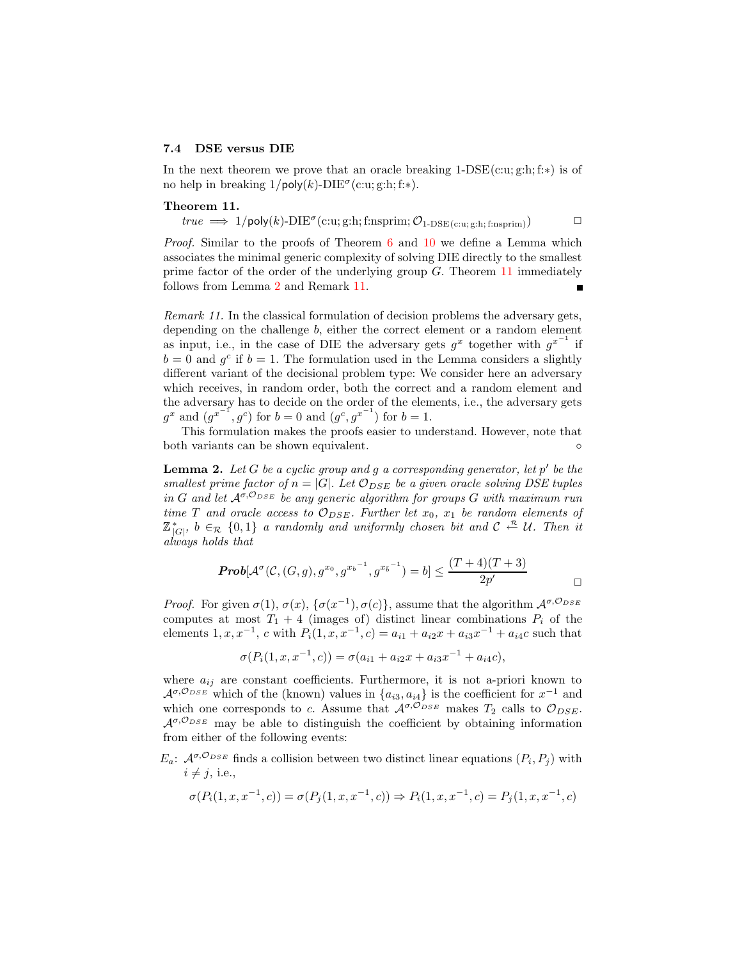#### 7.4 DSE versus DIE

<span id="page-12-0"></span>In the next theorem we prove that an oracle breaking  $1-\text{DSE}(c:u; g:h; f:*)$  is of no help in breaking  $1/\text{poly}(k)$ -DIE<sup> $\sigma$ </sup>(c:u; g:h; f:\*).

#### Theorem 11.

 $true \implies 1/\text{poly}(k)\text{-}\text{DIE}^{\sigma}(\text{c:u};\text{g:h};\text{f:nsprim};\mathcal{O}_{1-\text{DSE}(\text{c:u};\text{g:h};\text{f:nsprim})})$ 

Proof. Similar to the proofs of Theorem [6](#page-10-2) and [10](#page-11-2) we define a Lemma which associates the minimal generic complexity of solving DIE directly to the smallest prime factor of the order of the underlying group  $G$ . Theorem [11](#page-12-0) immediately follows from Lemma [2](#page-12-1) and Remark [11.](#page-12-2) Ē

<span id="page-12-2"></span>Remark 11. In the classical formulation of decision problems the adversary gets, depending on the challenge b, either the correct element or a random element as input, i.e., in the case of DIE the adversary gets  $g^x$  together with  $g^{x^{-1}}$  if  $b = 0$  and  $g^c$  if  $b = 1$ . The formulation used in the Lemma considers a slightly different variant of the decisional problem type: We consider here an adversary which receives, in random order, both the correct and a random element and the adversary has to decide on the order of the elements, i.e., the adversary gets  $g^x$  and  $(g^{x^{-1}}, g^c)$  for  $b = 0$  and  $(g^c, g^{x^{-1}})$  for  $b = 1$ .

This formulation makes the proofs easier to understand. However, note that both variants can be shown equivalent.  $\qquad \qquad \circ$ 

<span id="page-12-1"></span>**Lemma 2.** Let G be a cyclic group and g a corresponding generator, let  $p'$  be the smallest prime factor of  $n = |G|$ . Let  $\mathcal{O}_{DSE}$  be a given oracle solving DSE tuples in G and let  $A^{\sigma, \mathcal{O}_{DSE}}$  be any generic algorithm for groups G with maximum run time T and oracle access to  $\mathcal{O}_{DSE}$ . Further let  $x_0, x_1$  be random elements of  $\mathbb{Z}_{|G|}^*$ ,  $b \in_{\mathcal{R}} \{0,1\}$  a randomly and uniformly chosen bit and  $\mathcal{C} \stackrel{\mathcal{R}}{\leftarrow} \mathcal{U}$ . Then it always holds that

$$
Prob[\mathcal{A}^{\sigma}(\mathcal{C}, (G,g), g^{x_0}, g^{x_b^{-1}}, g^{x_b^{-1}}) = b] \le \frac{(T+4)(T+3)}{2p'} \square
$$

*Proof.* For given  $\sigma(1)$ ,  $\sigma(x)$ ,  $\{\sigma(x^{-1}), \sigma(c)\}\$ , assume that the algorithm  $\mathcal{A}^{\sigma, \mathcal{O}_{DSE}}$ computes at most  $T_1 + 4$  (images of) distinct linear combinations  $P_i$  of the elements  $1, x, x^{-1}, c$  with  $P_i(1, x, x^{-1}, c) = a_{i1} + a_{i2}x + a_{i3}x^{-1} + a_{i4}c$  such that

$$
\sigma(P_i(1, x, x^{-1}, c)) = \sigma(a_{i1} + a_{i2}x + a_{i3}x^{-1} + a_{i4}c),
$$

where  $a_{ij}$  are constant coefficients. Furthermore, it is not a-priori known to  $\mathcal{A}^{\sigma, \mathcal{O}_{DSE}}$  which of the (known) values in  $\{a_{i3}, a_{i4}\}\$ is the coefficient for  $x^{-1}$  and which one corresponds to c. Assume that  $\mathcal{A}^{\sigma, \mathcal{O}_{DSE}}$  makes  $T_2$  calls to  $\mathcal{O}_{DSE}$ .  $A^{\sigma, \mathcal{O}_{DSE}}$  may be able to distinguish the coefficient by obtaining information from either of the following events:

 $E_a$ :  $\mathcal{A}^{\sigma, \mathcal{O}_{DSE}}$  finds a collision between two distinct linear equations  $(P_i, P_j)$  with  $i \neq j$ , i.e.,

$$
\sigma(P_i(1, x, x^{-1}, c)) = \sigma(P_j(1, x, x^{-1}, c)) \Rightarrow P_i(1, x, x^{-1}, c) = P_j(1, x, x^{-1}, c)
$$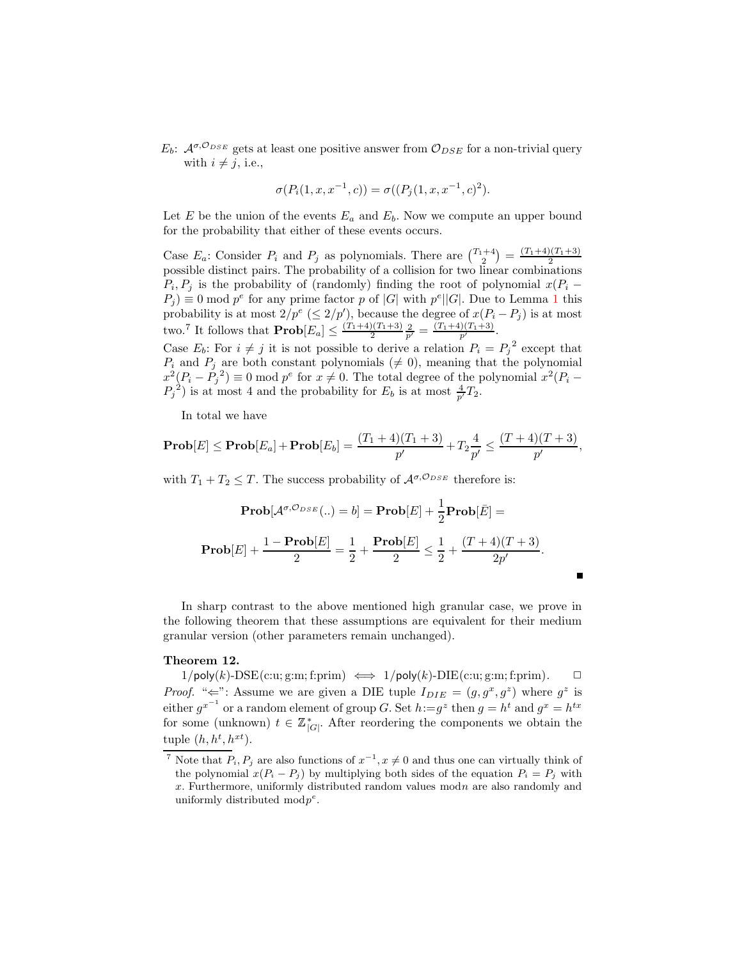$E_b$ :  $\mathcal{A}^{\sigma, \mathcal{O}_{DSE}}$  gets at least one positive answer from  $\mathcal{O}_{DSE}$  for a non-trivial query with  $i \neq j$ , i.e.,

$$
\sigma(P_i(1, x, x^{-1}, c)) = \sigma((P_j(1, x, x^{-1}, c)^2).
$$

Let  $E$  be the union of the events  $E_a$  and  $E_b$ . Now we compute an upper bound for the probability that either of these events occurs.

Case  $E_a$ : Consider  $P_i$  and  $P_j$  as polynomials. There are  $\binom{T_1+4}{2} = \frac{(T_1+4)(T_1+3)}{2}$ base  $E_a$ . Consider  $T_i$  and  $T_j$  as polynomials. There are  $\left(\begin{array}{cc} 2 \end{array}\right)$  =  $\frac{2}{2}$  possible distinct pairs. The probability of a collision for two linear combinations  $P_i, P_j$  is the probability of (randomly) finding the root of polynomial  $x(P_i P_j$  = 0 mod  $p^e$  for any prime factor p of |G| with  $p^e$ ||G|. Due to Lemma [1](#page-10-0) this probability is at most  $2/p^e \leq 2/p'$ , because the degree of  $x(P_i - P_j)$  is at most two.<sup>7</sup> It follows that  $\mathbf{Prob}[E_a] \leq \frac{(T_1+4)(T_1+3)}{2}$  $rac{(T_1+3)}{2} \frac{2}{p'} = \frac{(T_1+4)(T_1+3)}{p'}$ .

Case  $E_b$ : For  $i \neq j$  it is not possible to derive a relation  $P_i = P_j^2$  except that  $P_i$  and  $P_j$  are both constant polynomials ( $\neq 0$ ), meaning that the polynomial  $x^2(P_i - P_j^2) \equiv 0 \mod p^e$  for  $x \neq 0$ . The total degree of the polynomial  $x^2(P_i - P_j^2)$  $P_j^2$ ) is at most 4 and the probability for  $E_b$  is at most  $\frac{4}{p'}T_2$ .

In total we have

$$
\mathbf{Prob}[E] \leq \mathbf{Prob}[E_a] + \mathbf{Prob}[E_b] = \frac{(T_1+4)(T_1+3)}{p'} + T_2 \frac{4}{p'} \leq \frac{(T+4)(T+3)}{p'},
$$

with  $T_1 + T_2 \leq T$ . The success probability of  $\mathcal{A}^{\sigma, \mathcal{O}_{DSE}}$  therefore is:

$$
\mathbf{Prob}[\mathcal{A}^{\sigma, O_{DSE}}(...) = b] = \mathbf{Prob}[E] + \frac{1}{2}\mathbf{Prob}[\bar{E}] =
$$

$$
\mathbf{Prob}[E] + \frac{1 - \mathbf{Prob}[E]}{2} = \frac{1}{2} + \frac{\mathbf{Prob}[E]}{2} \le \frac{1}{2} + \frac{(T+4)(T+3)}{2p'}.
$$

П

In sharp contrast to the above mentioned high granular case, we prove in the following theorem that these assumptions are equivalent for their medium granular version (other parameters remain unchanged).

#### Theorem 12.

 $1/\text{poly}(k)$ - $\text{DSE}(c:u; g:m; f:prim) \iff 1/\text{poly}(k)$ - $\text{DIE}(c:u; g:m; f:prim)$ .  $\Box$ *Proof.* " $\Leftarrow$ ": Assume we are given a DIE tuple  $I_{DIE} = (g, g^x, g^z)$  where  $g^z$  is either  $g^{x^{-1}}$  or a random element of group G. Set  $h:=g^z$  then  $g=h^t$  and  $g^x=h^{tx}$ for some (unknown)  $t \in \mathbb{Z}_{|G|}^*$ . After reordering the components we obtain the tuple  $(h, h^t, h^{xt}).$ 

<sup>&</sup>lt;sup>7</sup> Note that  $P_i, P_j$  are also functions of  $x^{-1}, x \neq 0$  and thus one can virtually think of the polynomial  $x(P_i - P_j)$  by multiplying both sides of the equation  $P_i = P_j$  with x. Furthermore, uniformly distributed random values modn are also randomly and uniformly distributed mod $p^e$ .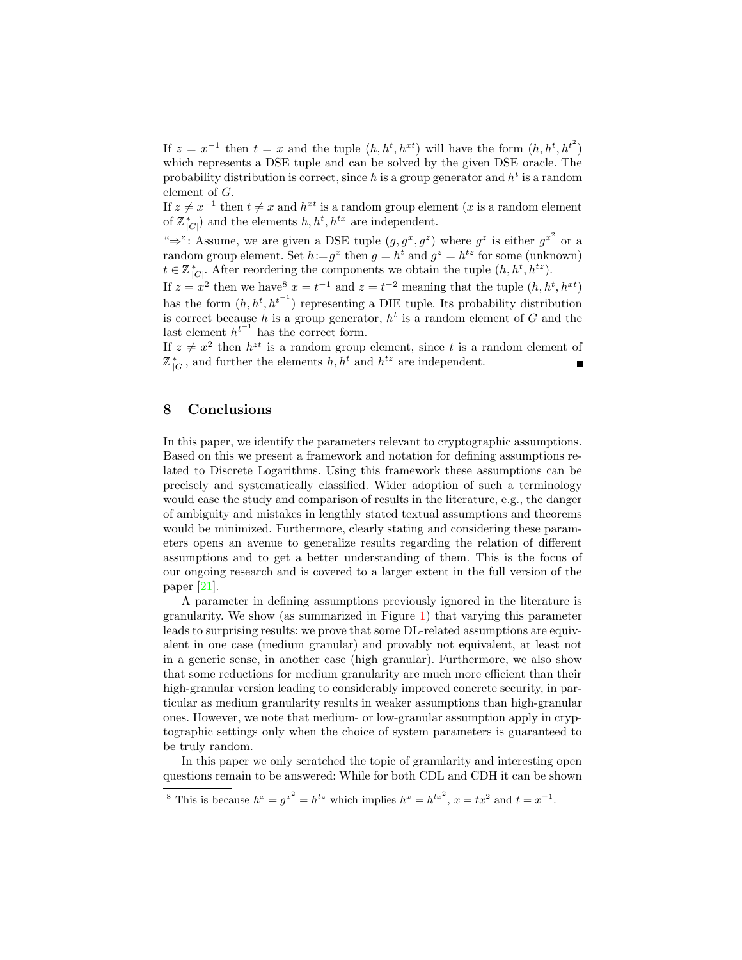<span id="page-14-0"></span>If  $z = x^{-1}$  then  $t = x$  and the tuple  $(h, h^t, h^{xt})$  will have the form  $(h, h^t, h^{t^2})$ which represents a DSE tuple and can be solved by the given DSE oracle. The probability distribution is correct, since h is a group generator and  $h^t$  is a random element of G.

If  $z \neq x^{-1}$  then  $t \neq x$  and  $h^{xt}$  is a random group element (x is a random element of  $\mathbb{Z}_{|G|}^*$  and the elements  $h, h^t, h^{tx}$  are independent.

" $\Rightarrow$ ": Assume, we are given a DSE tuple  $(g, g^x, g^z)$  where  $g^z$  is either  $g^{x^2}$  or a random group element. Set  $h:=g^x$  then  $g=h^t$  and  $g^z=h^{tz}$  for some (unknown)  $t \in \mathbb{Z}_{|G|}^*$ . After reordering the components we obtain the tuple  $(h, h^t, h^{tz})$ .

If  $z = x^2$  then we have  $x = t^{-1}$  and  $z = t^{-2}$  meaning that the tuple  $(h, h^t, h^{xt})$ has the form  $(h, h^t, h^{t-1})$  representing a DIE tuple. Its probability distribution is correct because h is a group generator,  $h^t$  is a random element of G and the last element  $h^{t^{-1}}$  has the correct form.

If  $z \neq x^2$  then  $h^{zt}$  is a random group element, since t is a random element of  $\mathbb{Z}_{|G|}^*$ , and further the elements  $h, h^t$  and  $h^{tz}$  are independent.

### 8 Conclusions

In this paper, we identify the parameters relevant to cryptographic assumptions. Based on this we present a framework and notation for defining assumptions related to Discrete Logarithms. Using this framework these assumptions can be precisely and systematically classified. Wider adoption of such a terminology would ease the study and comparison of results in the literature, e.g., the danger of ambiguity and mistakes in lengthly stated textual assumptions and theorems would be minimized. Furthermore, clearly stating and considering these parameters opens an avenue to generalize results regarding the relation of different assumptions and to get a better understanding of them. This is the focus of our ongoing research and is covered to a larger extent in the full version of the paper [\[21\]](#page-17-5).

A parameter in defining assumptions previously ignored in the literature is granularity. We show (as summarized in Figure [1\)](#page-15-4) that varying this parameter leads to surprising results: we prove that some DL-related assumptions are equivalent in one case (medium granular) and provably not equivalent, at least not in a generic sense, in another case (high granular). Furthermore, we also show that some reductions for medium granularity are much more efficient than their high-granular version leading to considerably improved concrete security, in particular as medium granularity results in weaker assumptions than high-granular ones. However, we note that medium- or low-granular assumption apply in cryptographic settings only when the choice of system parameters is guaranteed to be truly random.

In this paper we only scratched the topic of granularity and interesting open questions remain to be answered: While for both CDL and CDH it can be shown

<sup>&</sup>lt;sup>8</sup> This is because  $h^x = g^{x^2} = h^{tx}$  which implies  $h^x = h^{tx^2}$ ,  $x = tx^2$  and  $t = x^{-1}$ .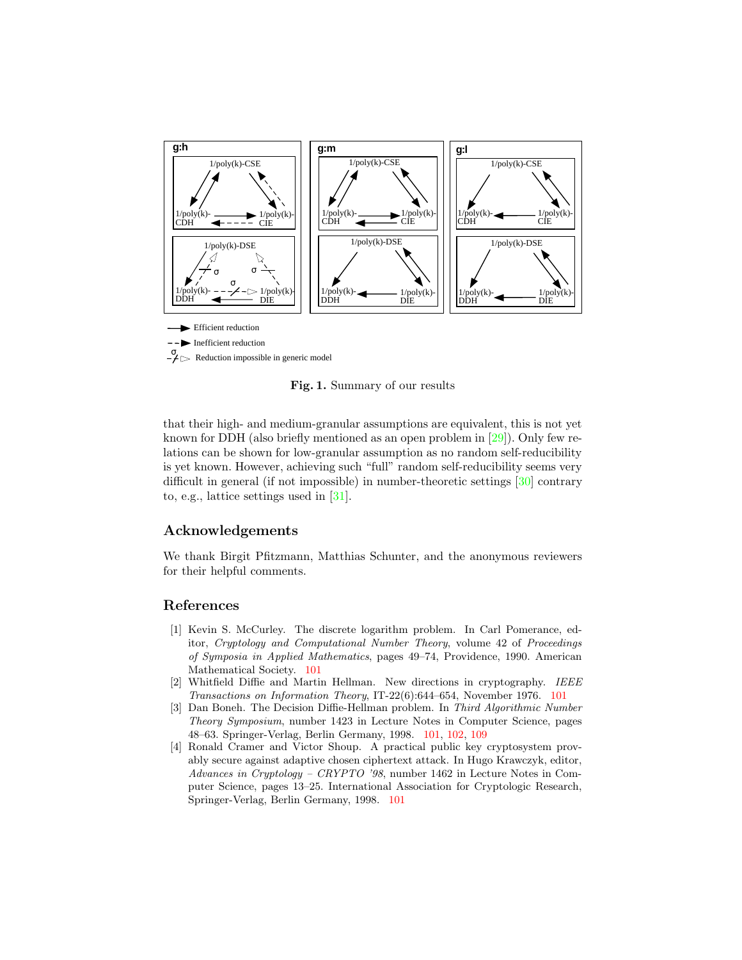<span id="page-15-5"></span>

<span id="page-15-4"></span>Fig. 1. Summary of our results

that their high- and medium-granular assumptions are equivalent, this is not yet known for DDH (also briefly mentioned as an open problem in [\[29\]](#page-17-11)). Only few relations can be shown for low-granular assumption as no random self-reducibility is yet known. However, achieving such "full" random self-reducibility seems very difficult in general (if not impossible) in number-theoretic settings [\[30\]](#page-17-12) contrary to, e.g., lattice settings used in [\[31\]](#page-17-13).

### Acknowledgements

We thank Birgit Pfitzmann, Matthias Schunter, and the anonymous reviewers for their helpful comments.

### <span id="page-15-0"></span>References

- [1] Kevin S. McCurley. The discrete logarithm problem. In Carl Pomerance, editor, Cryptology and Computational Number Theory, volume 42 of Proceedings of Symposia in Applied Mathematics, pages 49–74, Providence, 1990. American Mathematical Society. [101](#page-0-0)
- <span id="page-15-1"></span>[2] Whitfield Diffie and Martin Hellman. New directions in cryptography. IEEE Transactions on Information Theory, IT-22(6):644–654, November 1976. [101](#page-0-0)
- <span id="page-15-2"></span>[3] Dan Boneh. The Decision Diffie-Hellman problem. In Third Algorithmic Number Theory Symposium, number 1423 in Lecture Notes in Computer Science, pages 48–63. Springer-Verlag, Berlin Germany, 1998. [101,](#page-0-0) [102,](#page-1-0) [109](#page-8-2)
- <span id="page-15-3"></span>[4] Ronald Cramer and Victor Shoup. A practical public key cryptosystem provably secure against adaptive chosen ciphertext attack. In Hugo Krawczyk, editor, Advances in Cryptology – CRYPTO '98, number 1462 in Lecture Notes in Computer Science, pages 13–25. International Association for Cryptologic Research, Springer-Verlag, Berlin Germany, 1998. [101](#page-0-0)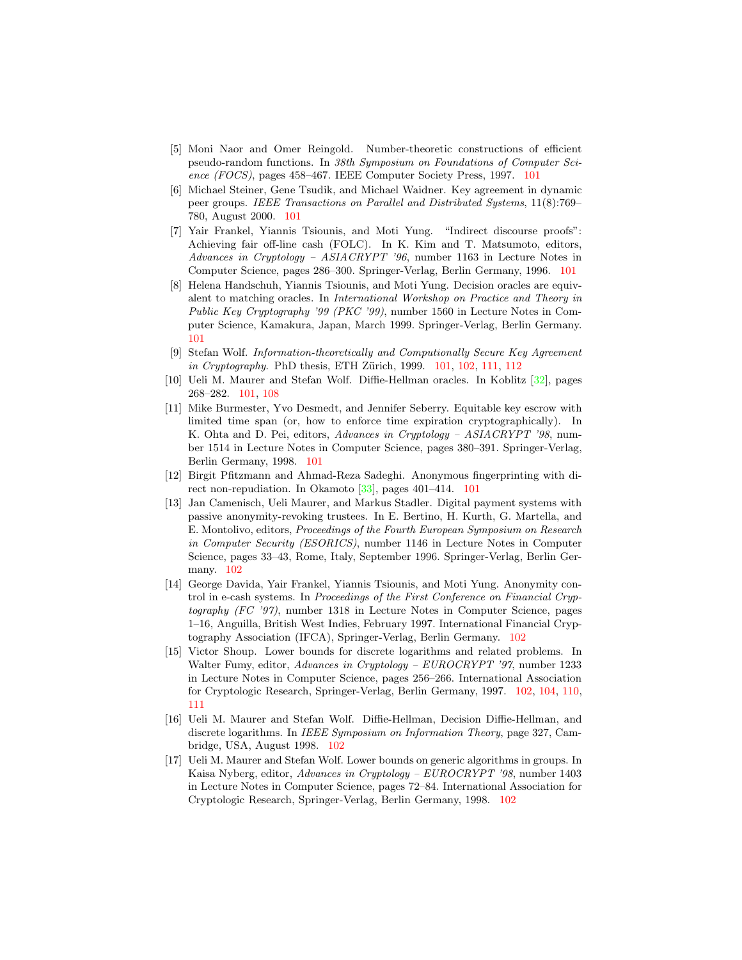- <span id="page-16-13"></span><span id="page-16-0"></span>[5] Moni Naor and Omer Reingold. Number-theoretic constructions of efficient pseudo-random functions. In 38th Symposium on Foundations of Computer Science (FOCS), pages 458–467. IEEE Computer Society Press, 1997. [101](#page-0-0)
- <span id="page-16-1"></span>[6] Michael Steiner, Gene Tsudik, and Michael Waidner. Key agreement in dynamic peer groups. IEEE Transactions on Parallel and Distributed Systems, 11(8):769– 780, August 2000. [101](#page-0-0)
- <span id="page-16-2"></span>[7] Yair Frankel, Yiannis Tsiounis, and Moti Yung. "Indirect discourse proofs": Achieving fair off-line cash (FOLC). In K. Kim and T. Matsumoto, editors, Advances in Cryptology – ASIACRYPT '96, number 1163 in Lecture Notes in Computer Science, pages 286–300. Springer-Verlag, Berlin Germany, 1996. [101](#page-0-0)
- <span id="page-16-3"></span>[8] Helena Handschuh, Yiannis Tsiounis, and Moti Yung. Decision oracles are equivalent to matching oracles. In International Workshop on Practice and Theory in Public Key Cryptography '99 (PKC '99), number 1560 in Lecture Notes in Computer Science, Kamakura, Japan, March 1999. Springer-Verlag, Berlin Germany. [101](#page-0-0)
- <span id="page-16-7"></span>[9] Stefan Wolf. Information-theoretically and Computionally Secure Key Agreement in Cryptography. PhD thesis, ETH Zürich, 1999.  $101, 102, 111, 112$  $101, 102, 111, 112$  $101, 102, 111, 112$  $101, 102, 111, 112$  $101, 102, 111, 112$  $101, 102, 111, 112$  $101, 102, 111, 112$
- <span id="page-16-5"></span><span id="page-16-4"></span>[10] Ueli M. Maurer and Stefan Wolf. Diffie-Hellman oracles. In Koblitz [\[32\]](#page-17-14), pages 268–282. [101,](#page-0-0) [108](#page-7-1)
- [11] Mike Burmester, Yvo Desmedt, and Jennifer Seberry. Equitable key escrow with limited time span (or, how to enforce time expiration cryptographically). In K. Ohta and D. Pei, editors, Advances in Cryptology – ASIACRYPT '98, number 1514 in Lecture Notes in Computer Science, pages 380–391. Springer-Verlag, Berlin Germany, 1998. [101](#page-0-0)
- <span id="page-16-6"></span>[12] Birgit Pfitzmann and Ahmad-Reza Sadeghi. Anonymous fingerprinting with di-rect non-repudiation. In Okamoto [\[33\]](#page-17-15), pages 401–414. [101](#page-0-0)
- <span id="page-16-8"></span>[13] Jan Camenisch, Ueli Maurer, and Markus Stadler. Digital payment systems with passive anonymity-revoking trustees. In E. Bertino, H. Kurth, G. Martella, and E. Montolivo, editors, Proceedings of the Fourth European Symposium on Research in Computer Security (ESORICS), number 1146 in Lecture Notes in Computer Science, pages 33–43, Rome, Italy, September 1996. Springer-Verlag, Berlin Germany. [102](#page-1-0)
- <span id="page-16-9"></span>[14] George Davida, Yair Frankel, Yiannis Tsiounis, and Moti Yung. Anonymity control in e-cash systems. In Proceedings of the First Conference on Financial Cryptography (FC '97), number 1318 in Lecture Notes in Computer Science, pages 1–16, Anguilla, British West Indies, February 1997. International Financial Cryptography Association (IFCA), Springer-Verlag, Berlin Germany. [102](#page-1-0)
- <span id="page-16-10"></span>[15] Victor Shoup. Lower bounds for discrete logarithms and related problems. In Walter Fumy, editor, Advances in Cryptology – EUROCRYPT '97, number 1233 in Lecture Notes in Computer Science, pages 256–266. International Association for Cryptologic Research, Springer-Verlag, Berlin Germany, 1997. [102,](#page-1-0) [104,](#page-3-0) [110,](#page-9-2) [111](#page-10-3)
- <span id="page-16-11"></span>[16] Ueli M. Maurer and Stefan Wolf. Diffie-Hellman, Decision Diffie-Hellman, and discrete logarithms. In *IEEE Symposium on Information Theory*, page 327, Cambridge, USA, August 1998. [102](#page-1-0)
- <span id="page-16-12"></span>[17] Ueli M. Maurer and Stefan Wolf. Lower bounds on generic algorithms in groups. In Kaisa Nyberg, editor, Advances in Cryptology – EUROCRYPT '98, number 1403 in Lecture Notes in Computer Science, pages 72–84. International Association for Cryptologic Research, Springer-Verlag, Berlin Germany, 1998. [102](#page-1-0)